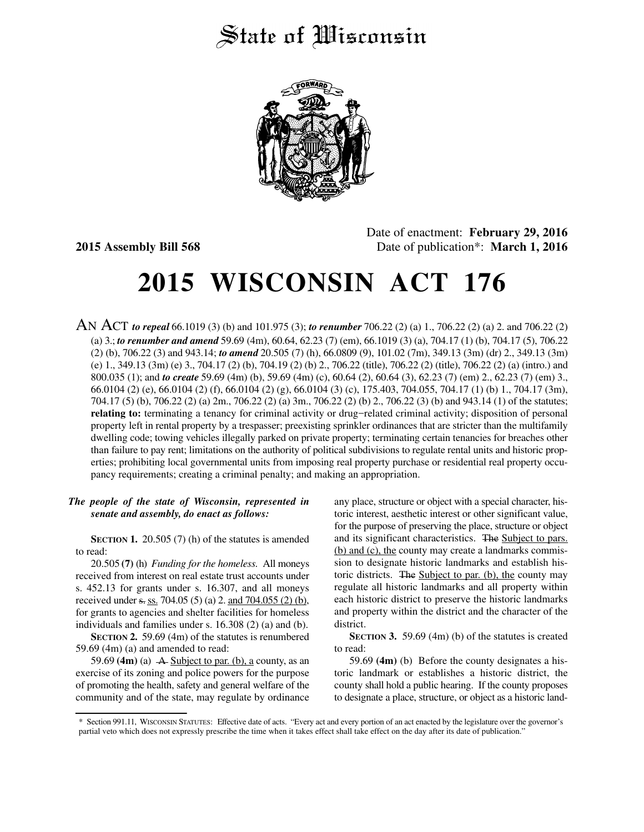## State of *Wisconsin*



Date of enactment: **February 29, 2016 2015 Assembly Bill 568** Date of publication\*: **March 1, 2016**

# **2015 WISCONSIN ACT 176**

AN ACT *to repeal* 66.1019 (3) (b) and 101.975 (3); *to renumber* 706.22 (2) (a) 1., 706.22 (2) (a) 2. and 706.22 (2) (a) 3.; *to renumber and amend* 59.69 (4m), 60.64, 62.23 (7) (em), 66.1019 (3) (a), 704.17 (1) (b), 704.17 (5), 706.22 (2) (b), 706.22 (3) and 943.14; *to amend* 20.505 (7) (h), 66.0809 (9), 101.02 (7m), 349.13 (3m) (dr) 2., 349.13 (3m) (e) 1., 349.13 (3m) (e) 3., 704.17 (2) (b), 704.19 (2) (b) 2., 706.22 (title), 706.22 (2) (title), 706.22 (2) (a) (intro.) and 800.035 (1); and *to create* 59.69 (4m) (b), 59.69 (4m) (c), 60.64 (2), 60.64 (3), 62.23 (7) (em) 2., 62.23 (7) (em) 3., 66.0104 (2) (e), 66.0104 (2) (f), 66.0104 (2) (g), 66.0104 (3) (c), 175.403, 704.055, 704.17 (1) (b) 1., 704.17 (3m), 704.17 (5) (b), 706.22 (2) (a) 2m., 706.22 (2) (a) 3m., 706.22 (2) (b) 2., 706.22 (3) (b) and 943.14 (1) of the statutes; **relating to:** terminating a tenancy for criminal activity or drug−related criminal activity; disposition of personal property left in rental property by a trespasser; preexisting sprinkler ordinances that are stricter than the multifamily dwelling code; towing vehicles illegally parked on private property; terminating certain tenancies for breaches other than failure to pay rent; limitations on the authority of political subdivisions to regulate rental units and historic properties; prohibiting local governmental units from imposing real property purchase or residential real property occupancy requirements; creating a criminal penalty; and making an appropriation.

## *The people of the state of Wisconsin, represented in senate and assembly, do enact as follows:*

**SECTION 1.** 20.505 (7) (h) of the statutes is amended to read:

20.505 **(7)** (h) *Funding for the homeless.* All moneys received from interest on real estate trust accounts under s. 452.13 for grants under s. 16.307, and all moneys received under s. ss. 704.05 (5) (a) 2. and 704.055 (2) (b), for grants to agencies and shelter facilities for homeless individuals and families under s. 16.308 (2) (a) and (b).

**SECTION 2.** 59.69 (4m) of the statutes is renumbered 59.69 (4m) (a) and amended to read:

59.69  $(4m)$  (a)  $\rightarrow$  Subject to par. (b), a county, as an exercise of its zoning and police powers for the purpose of promoting the health, safety and general welfare of the community and of the state, may regulate by ordinance any place, structure or object with a special character, historic interest, aesthetic interest or other significant value, for the purpose of preserving the place, structure or object and its significant characteristics. The Subject to pars. (b) and (c), the county may create a landmarks commission to designate historic landmarks and establish historic districts. The Subject to par. (b), the county may regulate all historic landmarks and all property within each historic district to preserve the historic landmarks and property within the district and the character of the district.

**SECTION 3.** 59.69 (4m) (b) of the statutes is created to read:

59.69 **(4m)** (b) Before the county designates a historic landmark or establishes a historic district, the county shall hold a public hearing. If the county proposes to designate a place, structure, or object as a historic land-

<sup>\*</sup> Section 991.11, WISCONSIN STATUTES: Effective date of acts. "Every act and every portion of an act enacted by the legislature over the governor's partial veto which does not expressly prescribe the time when it takes effect shall take effect on the day after its date of publication."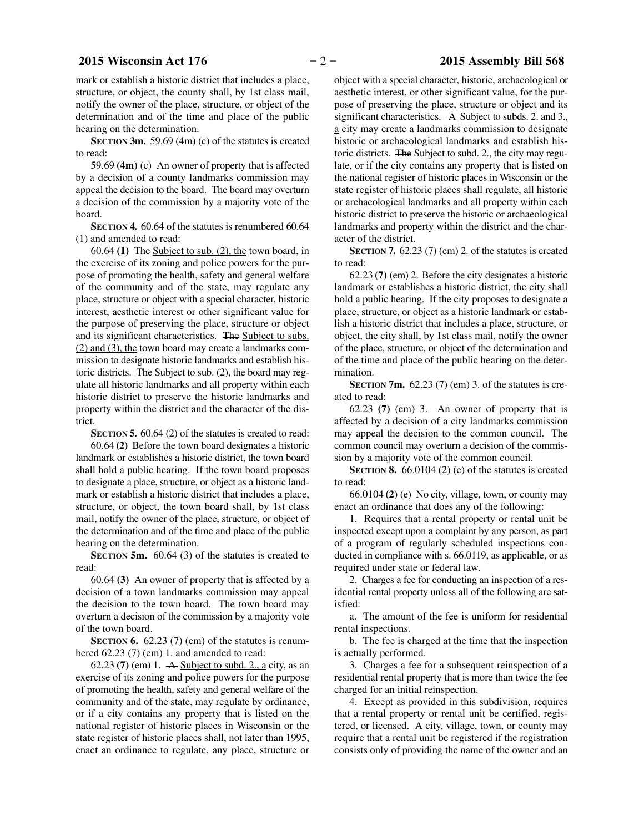## **2015 Wisconsin Act 176** − 2 − **2015 Assembly Bill 568**

mark or establish a historic district that includes a place, structure, or object, the county shall, by 1st class mail, notify the owner of the place, structure, or object of the determination and of the time and place of the public hearing on the determination.

**SECTION 3m.** 59.69 (4m) (c) of the statutes is created to read:

59.69 **(4m)** (c) An owner of property that is affected by a decision of a county landmarks commission may appeal the decision to the board. The board may overturn a decision of the commission by a majority vote of the board.

**SECTION 4.** 60.64 of the statutes is renumbered 60.64 (1) and amended to read:

60.64 **(1)** The Subject to sub. (2), the town board, in the exercise of its zoning and police powers for the purpose of promoting the health, safety and general welfare of the community and of the state, may regulate any place, structure or object with a special character, historic interest, aesthetic interest or other significant value for the purpose of preserving the place, structure or object and its significant characteristics. The Subject to subs. (2) and (3), the town board may create a landmarks commission to designate historic landmarks and establish historic districts. The Subject to sub. (2), the board may regulate all historic landmarks and all property within each historic district to preserve the historic landmarks and property within the district and the character of the district.

**SECTION 5.** 60.64 (2) of the statutes is created to read: 60.64 **(2)** Before the town board designates a historic landmark or establishes a historic district, the town board shall hold a public hearing. If the town board proposes to designate a place, structure, or object as a historic landmark or establish a historic district that includes a place, structure, or object, the town board shall, by 1st class mail, notify the owner of the place, structure, or object of the determination and of the time and place of the public hearing on the determination.

**SECTION** 5m. 60.64 (3) of the statutes is created to read:

60.64 **(3)** An owner of property that is affected by a decision of a town landmarks commission may appeal the decision to the town board. The town board may overturn a decision of the commission by a majority vote of the town board.

**SECTION 6.** 62.23 (7) (em) of the statutes is renumbered 62.23 (7) (em) 1. and amended to read:

62.23 **(7)** (em) 1. A Subject to subd. 2., a city, as an exercise of its zoning and police powers for the purpose of promoting the health, safety and general welfare of the community and of the state, may regulate by ordinance, or if a city contains any property that is listed on the national register of historic places in Wisconsin or the state register of historic places shall, not later than 1995, enact an ordinance to regulate, any place, structure or

object with a special character, historic, archaeological or aesthetic interest, or other significant value, for the purpose of preserving the place, structure or object and its significant characteristics. A Subject to subds. 2, and 3., a city may create a landmarks commission to designate historic or archaeological landmarks and establish historic districts. The Subject to subd. 2., the city may regulate, or if the city contains any property that is listed on the national register of historic places in Wisconsin or the state register of historic places shall regulate, all historic or archaeological landmarks and all property within each historic district to preserve the historic or archaeological landmarks and property within the district and the character of the district.

**SECTION 7.** 62.23 (7) (em) 2. of the statutes is created to read:

62.23 **(7)** (em) 2.Before the city designates a historic landmark or establishes a historic district, the city shall hold a public hearing. If the city proposes to designate a place, structure, or object as a historic landmark or establish a historic district that includes a place, structure, or object, the city shall, by 1st class mail, notify the owner of the place, structure, or object of the determination and of the time and place of the public hearing on the determination.

**SECTION 7m.** 62.23 (7) (em) 3. of the statutes is created to read:

62.23 **(7)** (em) 3. An owner of property that is affected by a decision of a city landmarks commission may appeal the decision to the common council. The common council may overturn a decision of the commission by a majority vote of the common council.

**SECTION 8.** 66.0104 (2) (e) of the statutes is created to read:

66.0104 **(2)** (e) No city, village, town, or county may enact an ordinance that does any of the following:

1. Requires that a rental property or rental unit be inspected except upon a complaint by any person, as part of a program of regularly scheduled inspections conducted in compliance with s. 66.0119, as applicable, or as required under state or federal law.

2. Charges a fee for conducting an inspection of a residential rental property unless all of the following are satisfied:

a. The amount of the fee is uniform for residential rental inspections.

b. The fee is charged at the time that the inspection is actually performed.

3. Charges a fee for a subsequent reinspection of a residential rental property that is more than twice the fee charged for an initial reinspection.

4. Except as provided in this subdivision, requires that a rental property or rental unit be certified, registered, or licensed. A city, village, town, or county may require that a rental unit be registered if the registration consists only of providing the name of the owner and an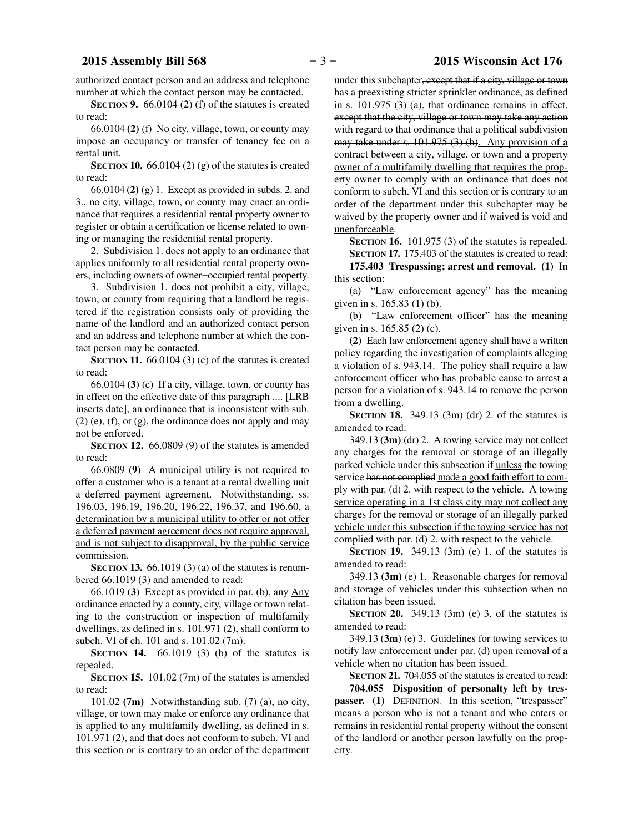authorized contact person and an address and telephone number at which the contact person may be contacted.

**SECTION 9.** 66.0104 (2) (f) of the statutes is created to read:

66.0104 **(2)** (f) No city, village, town, or county may impose an occupancy or transfer of tenancy fee on a rental unit.

**SECTION 10.** 66.0104 (2) (g) of the statutes is created to read:

66.0104 **(2)** (g) 1. Except as provided in subds. 2. and 3., no city, village, town, or county may enact an ordinance that requires a residential rental property owner to register or obtain a certification or license related to owning or managing the residential rental property.

2. Subdivision 1. does not apply to an ordinance that applies uniformly to all residential rental property owners, including owners of owner−occupied rental property.

3. Subdivision 1. does not prohibit a city, village, town, or county from requiring that a landlord be registered if the registration consists only of providing the name of the landlord and an authorized contact person and an address and telephone number at which the contact person may be contacted.

**SECTION 11.** 66.0104 (3) (c) of the statutes is created to read:

66.0104 **(3)** (c) If a city, village, town, or county has in effect on the effective date of this paragraph .... [LRB inserts date], an ordinance that is inconsistent with sub. (2) (e), (f), or (g), the ordinance does not apply and may not be enforced.

**SECTION 12.** 66.0809 (9) of the statutes is amended to read:

66.0809 **(9)** A municipal utility is not required to offer a customer who is a tenant at a rental dwelling unit a deferred payment agreement. Notwithstanding. ss. 196.03, 196.19, 196.20, 196.22, 196.37, and 196.60, a determination by a municipal utility to offer or not offer a deferred payment agreement does not require approval, and is not subject to disapproval, by the public service commission.

**SECTION 13.** 66.1019 (3) (a) of the statutes is renumbered 66.1019 (3) and amended to read:

66.1019 **(3)** Except as provided in par. (b), any Any ordinance enacted by a county, city, village or town relating to the construction or inspection of multifamily dwellings, as defined in s. 101.971 (2), shall conform to subch. VI of ch. 101 and s. 101.02 (7m).

**SECTION 14.** 66.1019 (3) (b) of the statutes is repealed.

**SECTION 15.** 101.02 (7m) of the statutes is amended to read:

101.02 **(7m)** Notwithstanding sub. (7) (a), no city, village, or town may make or enforce any ordinance that is applied to any multifamily dwelling, as defined in s. 101.971 (2), and that does not conform to subch. VI and this section or is contrary to an order of the department

under this subchapter, except that if a city, village or town has a preexisting stricter sprinkler ordinance, as defined in s. 101.975 (3) (a), that ordinance remains in effect, except that the city, village or town may take any action with regard to that ordinance that a political subdivision may take under s. 101.975 (3) (b). Any provision of a contract between a city, village, or town and a property owner of a multifamily dwelling that requires the property owner to comply with an ordinance that does not conform to subch. VI and this section or is contrary to an order of the department under this subchapter may be waived by the property owner and if waived is void and unenforceable.

**SECTION 16.** 101.975 (3) of the statutes is repealed. **SECTION 17.** 175.403 of the statutes is created to read:

**175.403 Trespassing; arrest and removal. (1)** In this section:

(a) "Law enforcement agency" has the meaning given in s. 165.83 (1) (b).

(b) "Law enforcement officer" has the meaning given in s. 165.85 (2) (c).

**(2)** Each law enforcement agency shall have a written policy regarding the investigation of complaints alleging a violation of s. 943.14. The policy shall require a law enforcement officer who has probable cause to arrest a person for a violation of s. 943.14 to remove the person from a dwelling.

**SECTION 18.** 349.13 (3m) (dr) 2. of the statutes is amended to read:

349.13 **(3m)** (dr) 2. A towing service may not collect any charges for the removal or storage of an illegally parked vehicle under this subsection if unless the towing service has not complied made a good faith effort to comply with par. (d) 2. with respect to the vehicle. A towing service operating in a 1st class city may not collect any charges for the removal or storage of an illegally parked vehicle under this subsection if the towing service has not complied with par. (d) 2. with respect to the vehicle.

**SECTION 19.** 349.13 (3m) (e) 1. of the statutes is amended to read:

349.13 **(3m)** (e) 1. Reasonable charges for removal and storage of vehicles under this subsection when no citation has been issued.

**SECTION 20.** 349.13 (3m) (e) 3. of the statutes is amended to read:

349.13 **(3m)** (e) 3. Guidelines for towing services to notify law enforcement under par. (d) upon removal of a vehicle when no citation has been issued.

**SECTION 21.** 704.055 of the statutes is created to read: **704.055 Disposition of personalty left by trespasser. (1)** DEFINITION. In this section, "trespasser" means a person who is not a tenant and who enters or remains in residential rental property without the consent of the landlord or another person lawfully on the property.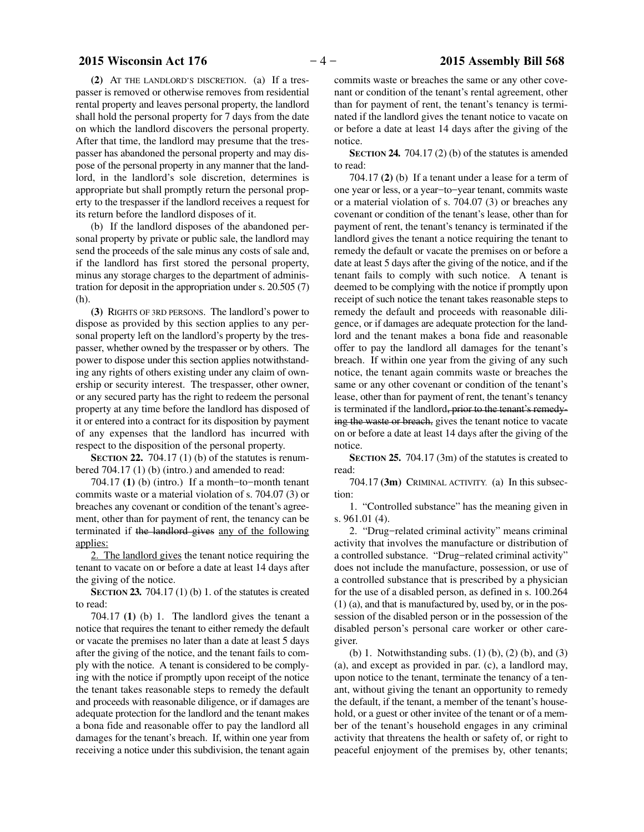**(2)** AT THE LANDLORD'S DISCRETION. (a) If a trespasser is removed or otherwise removes from residential rental property and leaves personal property, the landlord shall hold the personal property for 7 days from the date on which the landlord discovers the personal property. After that time, the landlord may presume that the trespasser has abandoned the personal property and may dispose of the personal property in any manner that the landlord, in the landlord's sole discretion, determines is appropriate but shall promptly return the personal property to the trespasser if the landlord receives a request for its return before the landlord disposes of it.

(b) If the landlord disposes of the abandoned personal property by private or public sale, the landlord may send the proceeds of the sale minus any costs of sale and, if the landlord has first stored the personal property, minus any storage charges to the department of administration for deposit in the appropriation under s. 20.505 (7) (h).

**(3)** RIGHTS OF 3RD PERSONS. The landlord's power to dispose as provided by this section applies to any personal property left on the landlord's property by the trespasser, whether owned by the trespasser or by others. The power to dispose under this section applies notwithstanding any rights of others existing under any claim of ownership or security interest. The trespasser, other owner, or any secured party has the right to redeem the personal property at any time before the landlord has disposed of it or entered into a contract for its disposition by payment of any expenses that the landlord has incurred with respect to the disposition of the personal property.

**SECTION 22.** 704.17 (1) (b) of the statutes is renumbered 704.17 (1) (b) (intro.) and amended to read:

704.17 **(1)** (b) (intro.) If a month−to−month tenant commits waste or a material violation of s. 704.07 (3) or breaches any covenant or condition of the tenant's agreement, other than for payment of rent, the tenancy can be terminated if the landlord gives any of the following applies:

2. The landlord gives the tenant notice requiring the tenant to vacate on or before a date at least 14 days after the giving of the notice.

**SECTION 23.** 704.17 (1) (b) 1. of the statutes is created to read:

704.17 **(1)** (b) 1. The landlord gives the tenant a notice that requires the tenant to either remedy the default or vacate the premises no later than a date at least 5 days after the giving of the notice, and the tenant fails to comply with the notice. A tenant is considered to be complying with the notice if promptly upon receipt of the notice the tenant takes reasonable steps to remedy the default and proceeds with reasonable diligence, or if damages are adequate protection for the landlord and the tenant makes a bona fide and reasonable offer to pay the landlord all damages for the tenant's breach. If, within one year from receiving a notice under this subdivision, the tenant again

commits waste or breaches the same or any other covenant or condition of the tenant's rental agreement, other than for payment of rent, the tenant's tenancy is terminated if the landlord gives the tenant notice to vacate on or before a date at least 14 days after the giving of the notice.

**SECTION 24.** 704.17 (2) (b) of the statutes is amended to read:

704.17 **(2)** (b) If a tenant under a lease for a term of one year or less, or a year−to−year tenant, commits waste or a material violation of s. 704.07 (3) or breaches any covenant or condition of the tenant's lease, other than for payment of rent, the tenant's tenancy is terminated if the landlord gives the tenant a notice requiring the tenant to remedy the default or vacate the premises on or before a date at least 5 days after the giving of the notice, and if the tenant fails to comply with such notice. A tenant is deemed to be complying with the notice if promptly upon receipt of such notice the tenant takes reasonable steps to remedy the default and proceeds with reasonable diligence, or if damages are adequate protection for the landlord and the tenant makes a bona fide and reasonable offer to pay the landlord all damages for the tenant's breach. If within one year from the giving of any such notice, the tenant again commits waste or breaches the same or any other covenant or condition of the tenant's lease, other than for payment of rent, the tenant's tenancy is terminated if the landlord, prior to the tenant's remedying the waste or breach, gives the tenant notice to vacate on or before a date at least 14 days after the giving of the notice.

**SECTION 25.** 704.17 (3m) of the statutes is created to read:

704.17 **(3m)** CRIMINAL ACTIVITY. (a) In this subsection:

1. "Controlled substance" has the meaning given in s. 961.01 (4).

2. "Drug−related criminal activity" means criminal activity that involves the manufacture or distribution of a controlled substance. "Drug−related criminal activity" does not include the manufacture, possession, or use of a controlled substance that is prescribed by a physician for the use of a disabled person, as defined in s. 100.264 (1) (a), and that is manufactured by, used by, or in the possession of the disabled person or in the possession of the disabled person's personal care worker or other caregiver.

(b) 1. Notwithstanding subs. (1) (b), (2) (b), and (3) (a), and except as provided in par. (c), a landlord may, upon notice to the tenant, terminate the tenancy of a tenant, without giving the tenant an opportunity to remedy the default, if the tenant, a member of the tenant's household, or a guest or other invitee of the tenant or of a member of the tenant's household engages in any criminal activity that threatens the health or safety of, or right to peaceful enjoyment of the premises by, other tenants;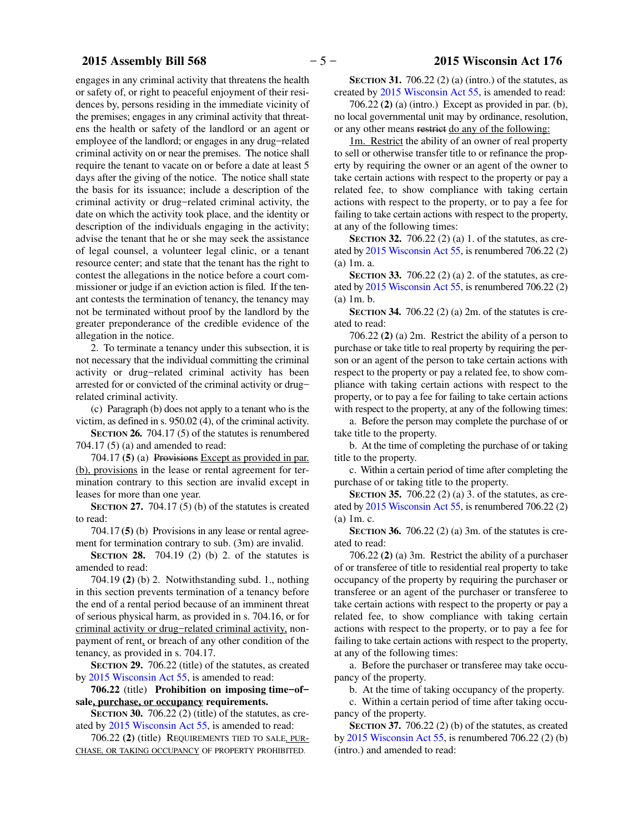engages in any criminal activity that threatens the health or safety of, or right to peaceful enjoyment of their residences by, persons residing in the immediate vicinity of the premises; engages in any criminal activity that threatens the health or safety of the landlord or an agent or employee of the landlord; or engages in any drug−related criminal activity on or near the premises. The notice shall require the tenant to vacate on or before a date at least 5 days after the giving of the notice. The notice shall state the basis for its issuance; include a description of the criminal activity or drug−related criminal activity, the date on which the activity took place, and the identity or description of the individuals engaging in the activity; advise the tenant that he or she may seek the assistance of legal counsel, a volunteer legal clinic, or a tenant resource center; and state that the tenant has the right to contest the allegations in the notice before a court commissioner or judge if an eviction action is filed. If the tenant contests the termination of tenancy, the tenancy may not be terminated without proof by the landlord by the greater preponderance of the credible evidence of the allegation in the notice.

2. To terminate a tenancy under this subsection, it is not necessary that the individual committing the criminal activity or drug−related criminal activity has been arrested for or convicted of the criminal activity or drug− related criminal activity.

(c) Paragraph (b) does not apply to a tenant who is the victim, as defined in s. 950.02 (4), of the criminal activity.

**SECTION 26.** 704.17 (5) of the statutes is renumbered 704.17 (5) (a) and amended to read:

704.17 **(5)** (a) Provisions Except as provided in par. (b), provisions in the lease or rental agreement for termination contrary to this section are invalid except in leases for more than one year.

**SECTION 27.** 704.17 (5) (b) of the statutes is created to read:

704.17 **(5)** (b) Provisions in any lease or rental agreement for termination contrary to sub. (3m) are invalid.

**SECTION 28.** 704.19 (2) (b) 2. of the statutes is amended to read:

704.19 **(2)** (b) 2. Notwithstanding subd. 1., nothing in this section prevents termination of a tenancy before the end of a rental period because of an imminent threat of serious physical harm, as provided in s. 704.16, or for criminal activity or drug−related criminal activity, nonpayment of rent, or breach of any other condition of the tenancy, as provided in s. 704.17.

**SECTION 29.** 706.22 (title) of the statutes, as created by 2015 Wisconsin Act 55, is amended to read:

**706.22** (title) **Prohibition on imposing time−of− sale, purchase, or occupancy requirements.**

**SECTION 30.** 706.22 (2) (title) of the statutes, as created by 2015 Wisconsin Act 55, is amended to read:

706.22 **(2)** (title) REQUIREMENTS TIED TO SALE, PUR-CHASE, OR TAKING OCCUPANCY OF PROPERTY PROHIBITED.

**SECTION 31.** 706.22 (2) (a) (intro.) of the statutes, as created by 2015 Wisconsin Act 55, is amended to read:

706.22 **(2)** (a) (intro.) Except as provided in par. (b), no local governmental unit may by ordinance, resolution, or any other means restrict do any of the following:

1m. Restrict the ability of an owner of real property to sell or otherwise transfer title to or refinance the property by requiring the owner or an agent of the owner to take certain actions with respect to the property or pay a related fee, to show compliance with taking certain actions with respect to the property, or to pay a fee for failing to take certain actions with respect to the property, at any of the following times:

**SECTION 32.** 706.22 (2) (a) 1. of the statutes, as created by 2015 Wisconsin Act 55, is renumbered 706.22 (2) (a) 1m. a.

**SECTION 33.** 706.22 (2) (a) 2. of the statutes, as created by 2015 Wisconsin Act 55, is renumbered 706.22 (2) (a) 1m. b.

**SECTION 34.** 706.22 (2) (a) 2m. of the statutes is created to read:

706.22 **(2)** (a) 2m. Restrict the ability of a person to purchase or take title to real property by requiring the person or an agent of the person to take certain actions with respect to the property or pay a related fee, to show compliance with taking certain actions with respect to the property, or to pay a fee for failing to take certain actions with respect to the property, at any of the following times:

a. Before the person may complete the purchase of or take title to the property.

b. At the time of completing the purchase of or taking title to the property.

c. Within a certain period of time after completing the purchase of or taking title to the property.

**SECTION 35.** 706.22 (2) (a) 3. of the statutes, as created by 2015 Wisconsin Act 55, is renumbered 706.22 (2) (a) 1m. c.

**SECTION 36.** 706.22 (2) (a) 3m. of the statutes is created to read:

706.22 **(2)** (a) 3m. Restrict the ability of a purchaser of or transferee of title to residential real property to take occupancy of the property by requiring the purchaser or transferee or an agent of the purchaser or transferee to take certain actions with respect to the property or pay a related fee, to show compliance with taking certain actions with respect to the property, or to pay a fee for failing to take certain actions with respect to the property, at any of the following times:

a. Before the purchaser or transferee may take occupancy of the property.

b. At the time of taking occupancy of the property.

c. Within a certain period of time after taking occupancy of the property.

**SECTION 37.** 706.22 (2) (b) of the statutes, as created by 2015 Wisconsin Act 55, is renumbered 706.22 (2) (b) (intro.) and amended to read: